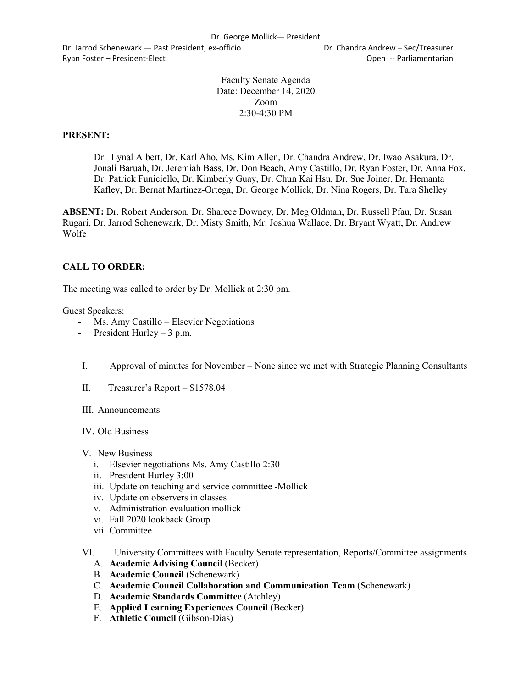Dr. Jarrod Schenewark — Past President, ex-officio Dr. Chandra Andrew – Sec/Treasurer Ryan Foster – President-Elect Controller Controller Controller Controller Controller Controller Controller Controller Controller Controller Controller Controller Controller Controller Controller Controller Controller Contr

Faculty Senate Agenda Date: December 14, 2020 Zoom 2:30-4:30 PM

### **PRESENT:**

Dr. Lynal Albert, Dr. Karl Aho, Ms. Kim Allen, Dr. Chandra Andrew, Dr. Iwao Asakura, Dr. Jonali Baruah, Dr. Jeremiah Bass, Dr. Don Beach, Amy Castillo, Dr. Ryan Foster, Dr. Anna Fox, Dr. Patrick Funiciello, Dr. Kimberly Guay, Dr. Chun Kai Hsu, Dr. Sue Joiner, Dr. Hemanta Kafley, Dr. Bernat Martinez-Ortega, Dr. George Mollick, Dr. Nina Rogers, Dr. Tara Shelley

**ABSENT:** Dr. Robert Anderson, Dr. Sharece Downey, Dr. Meg Oldman, Dr. Russell Pfau, Dr. Susan Rugari, Dr. Jarrod Schenewark, Dr. Misty Smith, Mr. Joshua Wallace, Dr. Bryant Wyatt, Dr. Andrew Wolfe

### **CALL TO ORDER:**

The meeting was called to order by Dr. Mollick at 2:30 pm.

Guest Speakers:

- Ms. Amy Castillo Elsevier Negotiations
- President Hurley 3 p.m.
- I. Approval of minutes for November None since we met with Strategic Planning Consultants
- II. Treasurer's Report \$1578.04
- III. Announcements
- IV. Old Business
- V. New Business
	- i. Elsevier negotiations Ms. Amy Castillo 2:30
	- ii. President Hurley 3:00
	- iii. Update on teaching and service committee -Mollick
	- iv. Update on observers in classes
	- v. Administration evaluation mollick
	- vi. Fall 2020 lookback Group
	- vii. Committee
- VI. University Committees with Faculty Senate representation, Reports/Committee assignments
	- A. **Academic Advising Council** (Becker)
	- B. **Academic Council** (Schenewark)
	- C. **Academic Council Collaboration and Communication Team** (Schenewark)
	- D. **Academic Standards Committee** (Atchley)
	- E. **Applied Learning Experiences Council** (Becker)
	- F. **Athletic Council** (Gibson-Dias)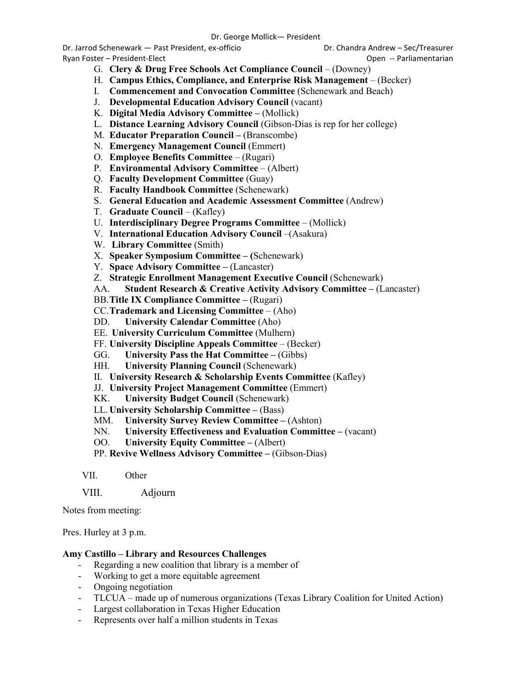Dr. Jarrod Schenewark — Past President, ex-officio Dr. Chandra Andrew – Sec/Treasurer

Ryan Foster – President-Elect Controller Controller Controller Controller Controller Controller Controller Controller Controller Controller Controller Controller Controller Controller Controller Controller Controller Contr

- -
- G. **Clery & Drug Free Schools Act Compliance Council** (Downey)
- H. **Campus Ethics, Compliance, and Enterprise Risk Management**  (Becker)
- I. **Commencement and Convocation Committee** (Schenewark and Beach)
- J. **Developmental Education Advisory Council** (vacant)
- K. **Digital Media Advisory Committee –** (Mollick)
- L. **Distance Learning Advisory Council** (Gibson-Dias is rep for her college)
- M. **Educator Preparation Council –** (Branscombe)
- N. **Emergency Management Council** (Emmert)
- O. **Employee Benefits Committee**  (Rugari)
- P. **Environmental Advisory Committee**  (Albert)
- Q. **Faculty Development Committee** (Guay)
- R. **Faculty Handbook Committee** (Schenewark)
- S. **General Education and Academic Assessment Committee** (Andrew)
- T. **Graduate Council**  (Kafley)
- U. **Interdisciplinary Degree Programs Committee**  (Mollick)
- V. **International Education Advisory Council** –(Asakura)
- W. **Library Committee** (Smith)
- X. **Speaker Symposium Committee – (**Schenewark)
- Y. **Space Advisory Committee –** (Lancaster)
- Z. **Strategic Enrollment Management Executive Council** (Schenewark)
- AA. **Student Research & Creative Activity Advisory Committee –** (Lancaster)
- BB.**Title IX Compliance Committee –** (Rugari)
- CC.**Trademark and Licensing Committee**  (Aho)
- DD. **University Calendar Committee** (Aho)
- EE. **University Curriculum Committee** (Mulhern)
- FF. **University Discipline Appeals Committee**  (Becker)
- GG. **University Pass the Hat Committee –** (Gibbs)
- HH. **University Planning Council** (Schenewark)
- II. **University Research & Scholarship Events Committee** (Kafley)
- JJ. **University Project Management Committee** (Emmert)
- KK. **University Budget Council** (Schenewark)
- LL. **University Scholarship Committee –** (Bass)
- MM. **University Survey Review Committee –** (Ashton)
- NN. **University Effectiveness and Evaluation Committee –** (vacant)
- OO. **University Equity Committee –** (Albert)

PP. **Revive Wellness Advisory Committee –** (Gibson-Dias)

VII. Other

VIII. Adjourn

Notes from meeting:

Pres. Hurley at 3 p.m.

### **Amy Castillo – Library and Resources Challenges**

- Regarding a new coalition that library is a member of
- Working to get a more equitable agreement
- Ongoing negotiation
- TLCUA made up of numerous organizations (Texas Library Coalition for United Action)
- Largest collaboration in Texas Higher Education
- Represents over half a million students in Texas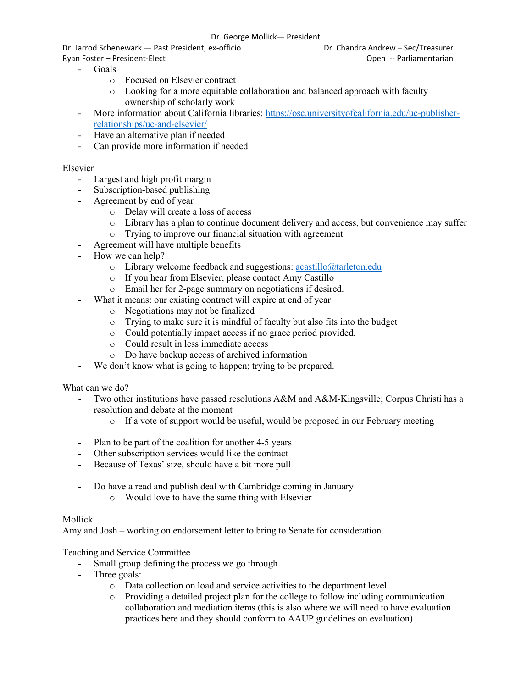#### Dr. George Mollick— President

Dr. Jarrod Schenewark — Past President, ex-officio Dr. Chandra Andrew – Sec/Treasurer

- Goals
	- o Focused on Elsevier contract
	- o Looking for a more equitable collaboration and balanced approach with faculty ownership of scholarly work
- More information about California libraries: [https://osc.universityofcalifornia.edu/uc-publisher](https://osc.universityofcalifornia.edu/uc-publisher-relationships/uc-and-elsevier/)[relationships/uc-and-elsevier/](https://osc.universityofcalifornia.edu/uc-publisher-relationships/uc-and-elsevier/)
- Have an alternative plan if needed
- Can provide more information if needed

## Elsevier

- Largest and high profit margin
- Subscription-based publishing
- Agreement by end of year
	- o Delay will create a loss of access
	- $\circ$  Library has a plan to continue document delivery and access, but convenience may suffer  $\circ$  Trving to improve our financial situation with agreement
	- Trying to improve our financial situation with agreement
- Agreement will have multiple benefits
- How we can help?
	- $\circ$  Library welcome feedback and suggestions: [acastillo@tarleton.edu](mailto:acastillo@tarleton.edu)
	- o If you hear from Elsevier, please contact Amy Castillo
	- o Email her for 2-page summary on negotiations if desired.
	- What it means: our existing contract will expire at end of year
		- o Negotiations may not be finalized
		- o Trying to make sure it is mindful of faculty but also fits into the budget
		- o Could potentially impact access if no grace period provided.
		- o Could result in less immediate access
		- o Do have backup access of archived information
- We don't know what is going to happen; trying to be prepared.

### What can we do?

- Two other institutions have passed resolutions A&M and A&M-Kingsville; Corpus Christi has a resolution and debate at the moment
	- o If a vote of support would be useful, would be proposed in our February meeting
- Plan to be part of the coalition for another 4-5 years
- Other subscription services would like the contract
- Because of Texas' size, should have a bit more pull
- Do have a read and publish deal with Cambridge coming in January
	- o Would love to have the same thing with Elsevier

### Mollick

Amy and Josh – working on endorsement letter to bring to Senate for consideration.

## Teaching and Service Committee

- Small group defining the process we go through
- Three goals:
	- $\circ$  Data collection on load and service activities to the department level.<br> $\circ$  Providing a detailed project plan for the college to follow including c
	- Providing a detailed project plan for the college to follow including communication collaboration and mediation items (this is also where we will need to have evaluation practices here and they should conform to AAUP guidelines on evaluation)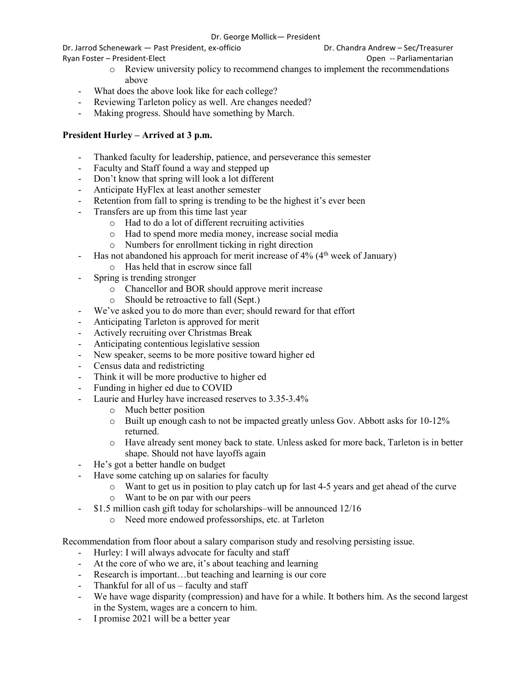Dr. Jarrod Schenewark — Past President, ex-officio Dr. Chandra Andrew – Sec/Treasurer Ryan Foster – President-Elect Controller Controller Controller Controller Controller Controller Controller Controller Controller Controller Controller Controller Controller Controller Controller Controller Controller Contr

- o Review university policy to recommend changes to implement the recommendations above
- What does the above look like for each college?
- Reviewing Tarleton policy as well. Are changes needed?
- Making progress. Should have something by March.

# **President Hurley – Arrived at 3 p.m.**

- Thanked faculty for leadership, patience, and perseverance this semester
- Faculty and Staff found a way and stepped up
- Don't know that spring will look a lot different
- Anticipate HyFlex at least another semester
- Retention from fall to spring is trending to be the highest it's ever been
- Transfers are up from this time last year
	- o Had to do a lot of different recruiting activities
	- o Had to spend more media money, increase social media
	- o Numbers for enrollment ticking in right direction
	- Has not abandoned his approach for merit increase of  $4\%$  ( $4<sup>th</sup>$  week of January)
		- o Has held that in escrow since fall
- Spring is trending stronger
	- o Chancellor and BOR should approve merit increase
	- o Should be retroactive to fall (Sept.)
- We've asked you to do more than ever; should reward for that effort
- Anticipating Tarleton is approved for merit
- Actively recruiting over Christmas Break
- Anticipating contentious legislative session
- New speaker, seems to be more positive toward higher ed
- Census data and redistricting
- Think it will be more productive to higher ed
- Funding in higher ed due to COVID
- Laurie and Hurley have increased reserves to 3.35-3.4%
	- o Much better position
	- $\circ$  Built up enough cash to not be impacted greatly unless Gov. Abbott asks for 10-12% returned.
	- o Have already sent money back to state. Unless asked for more back, Tarleton is in better shape. Should not have layoffs again
- He's got a better handle on budget
- Have some catching up on salaries for faculty
	- o Want to get us in position to play catch up for last 4-5 years and get ahead of the curve
	- o Want to be on par with our peers
- \$1.5 million cash gift today for scholarships–will be announced 12/16
	- o Need more endowed professorships, etc. at Tarleton

Recommendation from floor about a salary comparison study and resolving persisting issue.

- Hurley: I will always advocate for faculty and staff
- At the core of who we are, it's about teaching and learning
- Research is important…but teaching and learning is our core
- Thankful for all of  $us -$  faculty and staff
- We have wage disparity (compression) and have for a while. It bothers him. As the second largest in the System, wages are a concern to him.
- I promise 2021 will be a better year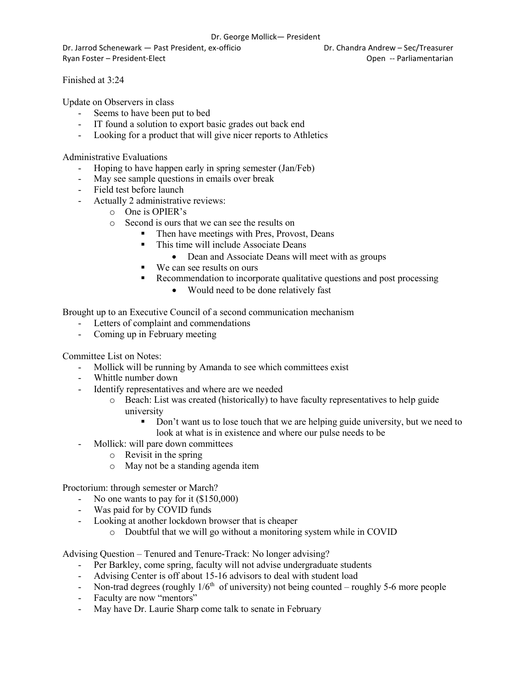#### Dr. George Mollick— President

Dr. Jarrod Schenewark — Past President, ex-officio Dr. Chandra Andrew – Sec/Treasurer Ryan Foster – President-Elect Controller Controller Controller Controller Controller Controller Controller Controller Controller Controller Controller Controller Controller Controller Controller Controller Controller Contr

Finished at 3:24

Update on Observers in class

- Seems to have been put to bed
- IT found a solution to export basic grades out back end
- Looking for a product that will give nicer reports to Athletics

Administrative Evaluations

- Hoping to have happen early in spring semester (Jan/Feb)
- May see sample questions in emails over break
- Field test before launch
- Actually 2 administrative reviews:
	- o One is OPIER's
	- o Second is ours that we can see the results on
		- Then have meetings with Pres, Provost, Deans
		- This time will include Associate Deans
			- Dean and Associate Deans will meet with as groups
		- We can see results on ours
		- Recommendation to incorporate qualitative questions and post processing
			- Would need to be done relatively fast

Brought up to an Executive Council of a second communication mechanism

- Letters of complaint and commendations
- Coming up in February meeting

Committee List on Notes:

- Mollick will be running by Amanda to see which committees exist
- Whittle number down
- Identify representatives and where are we needed
	- o Beach: List was created (historically) to have faculty representatives to help guide university
		- Don't want us to lose touch that we are helping guide university, but we need to look at what is in existence and where our pulse needs to be
	- Mollick: will pare down committees
		- o Revisit in the spring
		- o May not be a standing agenda item

Proctorium: through semester or March?

- No one wants to pay for it (\$150,000)
- Was paid for by COVID funds
- Looking at another lockdown browser that is cheaper
	- o Doubtful that we will go without a monitoring system while in COVID

Advising Question – Tenured and Tenure-Track: No longer advising?

- Per Barkley, come spring, faculty will not advise undergraduate students
- Advising Center is off about 15-16 advisors to deal with student load
- Non-trad degrees (roughly  $1/6<sup>th</sup>$  of university) not being counted roughly 5-6 more people
- Faculty are now "mentors"
- May have Dr. Laurie Sharp come talk to senate in February